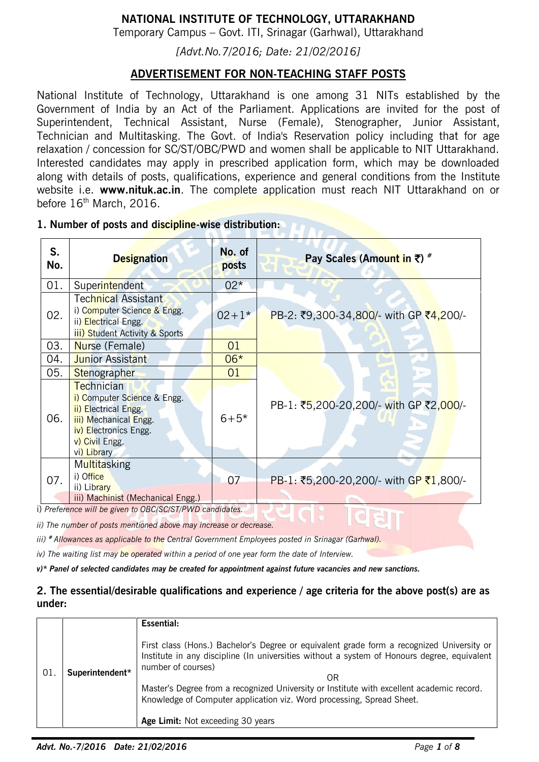# **NATIONAL INSTITUTE OF TECHNOLOGY, UTTARAKHAND**

Temporary Campus – Govt. ITI, Srinagar (Garhwal), Uttarakhand

*[Advt.No.7/2016; Date: 21/02/2016]*

## **ADVERTISEMENT FOR NON-TEACHING STAFF POSTS**

National Institute of Technology, Uttarakhand is one among 31 NITs established by the Government of India by an Act of the Parliament. Applications are invited for the post of Superintendent, Technical Assistant, Nurse (Female), Stenographer, Junior Assistant, Technician and Multitasking. The Govt. of India's Reservation policy including that for age relaxation / concession for SC/ST/OBC/PWD and women shall be applicable to NIT Uttarakhand. Interested candidates may apply in prescribed application form, which may be downloaded along with details of posts, qualifications, experience and general conditions from the Institute website i.e. **www.nituk.ac.in**. The complete application must reach NIT Uttarakhand on or before 16<sup>th</sup> March, 2016.

## **1. Number of posts and discipline-wise distribution:**

| S.<br>No. | <b>Designation</b>                                                                                                                                   | No. of<br>posts | Pay Scales (Amount in ₹) #             |  |  |  |  |  |
|-----------|------------------------------------------------------------------------------------------------------------------------------------------------------|-----------------|----------------------------------------|--|--|--|--|--|
| 01.       | Superintendent                                                                                                                                       | $02*$           |                                        |  |  |  |  |  |
| 02.       | Technical Assistant<br>i) Computer Science & Engg.<br>ii) Electrical Engg.<br>iii) Student Activity & Sports                                         | $02 + 1*$       | PB-2: ₹9,300-34,800/- with GP ₹4,200/- |  |  |  |  |  |
| 03.       | Nurse (Female)                                                                                                                                       | 01              |                                        |  |  |  |  |  |
| 04.       | <b>Junior Assistant</b>                                                                                                                              | $06*$           |                                        |  |  |  |  |  |
| 05.       | Stenographer                                                                                                                                         | 01              |                                        |  |  |  |  |  |
| 06.       | Technician<br>i) Computer Science & Engg.<br>ii) Electrical Engg.<br>iii) Mechanical Engg.<br>iv) Electronics Engg.<br>v) Civil Engg.<br>vi) Library | $6 + 5*$        | PB-1: ₹5,200-20,200/- with GP ₹2,000/- |  |  |  |  |  |
| 07.       | <b>Multitasking</b><br>i) Office<br>ii) Library<br>iii) Machinist (Mechanical Engg.)                                                                 | 07              | PB-1: ₹5,200-20,200/- with GP ₹1,800/- |  |  |  |  |  |

*ii) The number of posts mentioned above may increase or decrease.*

*iii) # Allowances as applicable to the Central Government Employees posted in Srinagar (Garhwal).*

*iv) The waiting list may be operated within a period of one year form the date of Interview.*

*v)\* Panel of selected candidates may be created for appointment against future vacancies and new sanctions.*

### **2. The essential/desirable qualifications and experience / age criteria for the above post(s) are as under:**

|     |                 | Essential:                                                                                                                                                                                                                                                                                                                                                                                 |
|-----|-----------------|--------------------------------------------------------------------------------------------------------------------------------------------------------------------------------------------------------------------------------------------------------------------------------------------------------------------------------------------------------------------------------------------|
| 01. | Superintendent* | First class (Hons.) Bachelor's Degree or equivalent grade form a recognized University or<br>Institute in any discipline (In universities without a system of Honours degree, equivalent<br>number of courses)<br>ΩR<br>Master's Degree from a recognized University or Institute with excellent academic record.<br>Knowledge of Computer application viz. Word processing, Spread Sheet. |
|     |                 | Age Limit: Not exceeding 30 years                                                                                                                                                                                                                                                                                                                                                          |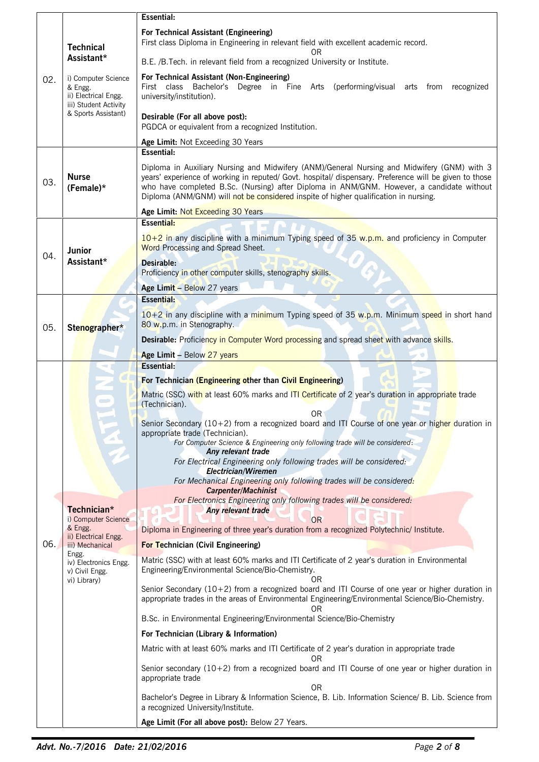|     |                                                                                                                                                                              | <b>Essential:</b>                                                                                                                                                                                                                                                                                                                                                                                                                                                                                                                                                                                                                                                                                                                                                                                                                                                                                                                                                                                                                                                                                                                                                                                                                                                                                                                                                                                                                                                                                                                                                                                                                                                      |
|-----|------------------------------------------------------------------------------------------------------------------------------------------------------------------------------|------------------------------------------------------------------------------------------------------------------------------------------------------------------------------------------------------------------------------------------------------------------------------------------------------------------------------------------------------------------------------------------------------------------------------------------------------------------------------------------------------------------------------------------------------------------------------------------------------------------------------------------------------------------------------------------------------------------------------------------------------------------------------------------------------------------------------------------------------------------------------------------------------------------------------------------------------------------------------------------------------------------------------------------------------------------------------------------------------------------------------------------------------------------------------------------------------------------------------------------------------------------------------------------------------------------------------------------------------------------------------------------------------------------------------------------------------------------------------------------------------------------------------------------------------------------------------------------------------------------------------------------------------------------------|
|     | <b>Technical</b>                                                                                                                                                             | <b>For Technical Assistant (Engineering)</b><br>First class Diploma in Engineering in relevant field with excellent academic record.<br>ΟR                                                                                                                                                                                                                                                                                                                                                                                                                                                                                                                                                                                                                                                                                                                                                                                                                                                                                                                                                                                                                                                                                                                                                                                                                                                                                                                                                                                                                                                                                                                             |
|     | Assistant*                                                                                                                                                                   | B.E. /B. Tech. in relevant field from a recognized University or Institute.                                                                                                                                                                                                                                                                                                                                                                                                                                                                                                                                                                                                                                                                                                                                                                                                                                                                                                                                                                                                                                                                                                                                                                                                                                                                                                                                                                                                                                                                                                                                                                                            |
| 02. | i) Computer Science<br>& Engg.<br>ii) Electrical Engg.<br>iii) Student Activity                                                                                              | For Technical Assistant (Non-Engineering)<br>First class Bachelor's Degree in Fine Arts (performing/visual arts from<br>recognized<br>university/institution).                                                                                                                                                                                                                                                                                                                                                                                                                                                                                                                                                                                                                                                                                                                                                                                                                                                                                                                                                                                                                                                                                                                                                                                                                                                                                                                                                                                                                                                                                                         |
|     | & Sports Assistant)                                                                                                                                                          | Desirable (For all above post):<br>PGDCA or equivalent from a recognized Institution.                                                                                                                                                                                                                                                                                                                                                                                                                                                                                                                                                                                                                                                                                                                                                                                                                                                                                                                                                                                                                                                                                                                                                                                                                                                                                                                                                                                                                                                                                                                                                                                  |
|     |                                                                                                                                                                              | Age Limit: Not Exceeding 30 Years<br>Essential:                                                                                                                                                                                                                                                                                                                                                                                                                                                                                                                                                                                                                                                                                                                                                                                                                                                                                                                                                                                                                                                                                                                                                                                                                                                                                                                                                                                                                                                                                                                                                                                                                        |
| 03. | <b>Nurse</b><br>(Female)*                                                                                                                                                    | Diploma in Auxiliary Nursing and Midwifery (ANM)/General Nursing and Midwifery (GNM) with 3<br>years' experience of working in reputed/ Govt. hospital/ dispensary. Preference will be given to those<br>who have completed B.Sc. (Nursing) after Diploma in ANM/GNM. However, a candidate without<br>Diploma (ANM/GNM) will not be considered inspite of higher qualification in nursing.                                                                                                                                                                                                                                                                                                                                                                                                                                                                                                                                                                                                                                                                                                                                                                                                                                                                                                                                                                                                                                                                                                                                                                                                                                                                             |
|     |                                                                                                                                                                              | Age Limit: Not Exceeding 30 Years                                                                                                                                                                                                                                                                                                                                                                                                                                                                                                                                                                                                                                                                                                                                                                                                                                                                                                                                                                                                                                                                                                                                                                                                                                                                                                                                                                                                                                                                                                                                                                                                                                      |
| 04. | Junior                                                                                                                                                                       | Essential:<br>$10+2$ in any discipline with a minimum Typing speed of $35$ w.p.m. and proficiency in Computer<br><b>Word Processing and Spread Sheet.</b>                                                                                                                                                                                                                                                                                                                                                                                                                                                                                                                                                                                                                                                                                                                                                                                                                                                                                                                                                                                                                                                                                                                                                                                                                                                                                                                                                                                                                                                                                                              |
|     | Assistant*                                                                                                                                                                   | Desirable:<br>Proficiency in other computer skills, stenography skills.                                                                                                                                                                                                                                                                                                                                                                                                                                                                                                                                                                                                                                                                                                                                                                                                                                                                                                                                                                                                                                                                                                                                                                                                                                                                                                                                                                                                                                                                                                                                                                                                |
|     |                                                                                                                                                                              | Age Limit - Below 27 years                                                                                                                                                                                                                                                                                                                                                                                                                                                                                                                                                                                                                                                                                                                                                                                                                                                                                                                                                                                                                                                                                                                                                                                                                                                                                                                                                                                                                                                                                                                                                                                                                                             |
|     |                                                                                                                                                                              | <b>Essential:</b>                                                                                                                                                                                                                                                                                                                                                                                                                                                                                                                                                                                                                                                                                                                                                                                                                                                                                                                                                                                                                                                                                                                                                                                                                                                                                                                                                                                                                                                                                                                                                                                                                                                      |
| 05. | Stenographer*                                                                                                                                                                | 10+2 in any discipline with a minimum Typing speed of 35 w.p.m. Minimum speed in short hand<br>80 w.p.m. in Stenography.                                                                                                                                                                                                                                                                                                                                                                                                                                                                                                                                                                                                                                                                                                                                                                                                                                                                                                                                                                                                                                                                                                                                                                                                                                                                                                                                                                                                                                                                                                                                               |
|     |                                                                                                                                                                              | Desirable: Proficiency in Computer Word processing and spread sheet with advance skills.                                                                                                                                                                                                                                                                                                                                                                                                                                                                                                                                                                                                                                                                                                                                                                                                                                                                                                                                                                                                                                                                                                                                                                                                                                                                                                                                                                                                                                                                                                                                                                               |
|     |                                                                                                                                                                              | Age Limit - Below 27 years                                                                                                                                                                                                                                                                                                                                                                                                                                                                                                                                                                                                                                                                                                                                                                                                                                                                                                                                                                                                                                                                                                                                                                                                                                                                                                                                                                                                                                                                                                                                                                                                                                             |
| 06. | <b>COLOR</b><br>Technician*<br>i) Computer Science<br>& Engg.<br>ii) Electrical Engg.<br>iii) Mechanical<br>Engg.<br>iv) Electronics Engg.<br>v) Civil Engg.<br>vi) Library) | Essential:<br>For Technician (Engineering other than Civil Engineering)<br>Matric (SSC) with at least 60% marks and ITI Certificate of 2 year's duration in appropriate trade<br>(Technician).<br><b>OR</b><br>Senior Secondary (10+2) from a recognized board and ITI Course of one year or higher duration in<br>appropriate trade (Technician).<br>For Computer Science & Engineering only following trade will be considered:<br>Any relevant trade<br>For Electrical Engineering only following trades will be considered:<br><b>Electrician/Wiremen</b><br>For Mechanical Engineering only following trades will be considered:<br>Carpenter/Machinist<br>For Electronics Engineering only following trades will be considered:<br>Any relevant trade<br><b>OR</b><br>Diploma in Engineering of three year's duration from a recognized Polytechnic/ Institute.<br><b>For Technician (Civil Engineering)</b><br>Matric (SSC) with at least 60% marks and ITI Certificate of 2 year's duration in Environmental<br>Engineering/Environmental Science/Bio-Chemistry.<br><b>OR</b><br>Senior Secondary $(10+2)$ from a recognized board and ITI Course of one year or higher duration in<br>appropriate trades in the areas of Environmental Engineering/Environmental Science/Bio-Chemistry.<br>OR<br>B.Sc. in Environmental Engineering/Environmental Science/Bio-Chemistry<br>For Technician (Library & Information)<br>Matric with at least 60% marks and ITI Certificate of 2 year's duration in appropriate trade<br>0R<br>Senior secondary (10+2) from a recognized board and ITI Course of one year or higher duration in<br>appropriate trade<br><b>OR</b> |
|     |                                                                                                                                                                              | Bachelor's Degree in Library & Information Science, B. Lib. Information Science/ B. Lib. Science from<br>a recognized University/Institute.                                                                                                                                                                                                                                                                                                                                                                                                                                                                                                                                                                                                                                                                                                                                                                                                                                                                                                                                                                                                                                                                                                                                                                                                                                                                                                                                                                                                                                                                                                                            |
|     |                                                                                                                                                                              | Age Limit (For all above post): Below 27 Years.                                                                                                                                                                                                                                                                                                                                                                                                                                                                                                                                                                                                                                                                                                                                                                                                                                                                                                                                                                                                                                                                                                                                                                                                                                                                                                                                                                                                                                                                                                                                                                                                                        |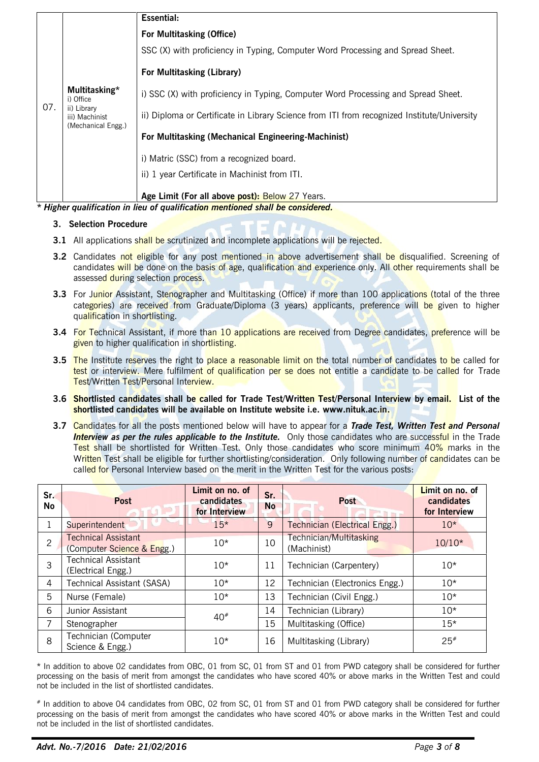|     |                                                                                   | Essential:                                                                                  |
|-----|-----------------------------------------------------------------------------------|---------------------------------------------------------------------------------------------|
|     |                                                                                   | <b>For Multitasking (Office)</b>                                                            |
|     |                                                                                   | SSC (X) with proficiency in Typing, Computer Word Processing and Spread Sheet.              |
|     |                                                                                   | <b>For Multitasking (Library)</b>                                                           |
|     | Multitasking*<br>i) Office<br>ii) Library<br>iii) Machinist<br>(Mechanical Engg.) | i) SSC (X) with proficiency in Typing, Computer Word Processing and Spread Sheet.           |
| 07. |                                                                                   | ii) Diploma or Certificate in Library Science from ITI from recognized Institute/University |
|     |                                                                                   | <b>For Multitasking (Mechanical Engineering-Machinist)</b>                                  |
|     |                                                                                   | i) Matric (SSC) from a recognized board.                                                    |
|     |                                                                                   | ii) 1 year Certificate in Machinist from ITI.                                               |
|     |                                                                                   | Age Limit (For all above post): Below 27 Years.                                             |
|     |                                                                                   | * Higher qualification in lieu of qualification mentioned shall be considered.              |

**3. Selection Procedure**

- **3.1** All applications shall be scrutinized and incomplete applications will be rejected.
- **3.2** Candidates not eligible for any post mentioned in above advertisement shall be disqualified. Screening of candidates will be done on the basis of age, qualification and experience only. All other requirements shall be assessed during selection process.
- **3.3** For Junior Assistant, Stenographer and Multitasking (Office) if more than 100 applications (total of the three categories) are received from Graduate/Diploma (3 years) applicants, preference will be given to higher qualification in shortlisting.
- **3.4** For Technical Assistant, if more than 10 applications are received from Degree candidates, preference will be given to higher qualification in shortlisting.
- **3.5** The Institute reserves the right to place a reasonable limit on the total number of candidates to be called for test or interview. Mere fulfilment of qualification per se does not entitle a candidate to be called for Trade Test/Written Test/Personal Interview.
- **3.6 Shortlisted candidates shall be called for Trade Test/Written Test/Personal Interview by email. List of the shortlisted candidates will be available on Institute website i.e. www.nituk.ac.in.**
- **3.7** Candidates for all the posts mentioned below will have to appear for a *Trade Test, Written Test and Personal* **Interview as per the rules applicable to the Institute.** Only those candidates who are successful in the Trade Test shall be shortlisted for Written Test. Only those candidates who score minimum 40% marks in the Written Test shall be eligible for further shortlisting/consideration. Only following number of candidates can be called for Personal Interview based on the merit in the Written Test for the various posts:

| Sr.<br><b>No</b> | <b>Post</b>                                              | Limit on no. of<br>candidates<br>for Interview | Sr.<br><b>No</b> | Post                                   | Limit on no. of<br>candidates<br>for Interview |
|------------------|----------------------------------------------------------|------------------------------------------------|------------------|----------------------------------------|------------------------------------------------|
|                  | Superintendent                                           | $15*$                                          | 9                | <b>Technician (Electrical Engg.)</b>   | $10*$                                          |
| $\overline{2}$   | <b>Technical Assistant</b><br>(Computer Science & Engg.) | $10*$                                          | 10               | Technician/Multitasking<br>(Machinist) | $10/10*$                                       |
| 3                | <b>Technical Assistant</b><br>(Electrical Engg.)         | $10*$                                          | 11               | Technician (Carpentery)                | $10*$                                          |
| 4                | Technical Assistant (SASA)                               | $10*$                                          | 12               | Technician (Electronics Engg.)         | $10*$                                          |
| 5                | Nurse (Female)                                           | $10*$                                          | 13               | Technician (Civil Engg.)               | $10*$                                          |
| 6                | Junior Assistant                                         | $40^{#}$                                       | 14               | Technician (Library)                   | $10*$                                          |
| $\overline{7}$   | Stenographer                                             |                                                | 15               | Multitasking (Office)                  | $15*$                                          |
| 8                | Technician (Computer<br>Science & Engg.)                 | $10*$                                          | 16               | Multitasking (Library)                 | $25^{#}$                                       |

\* In addition to above 02 candidates from OBC, 01 from SC, 01 from ST and 01 from PWD category shall be considered for further processing on the basis of merit from amongst the candidates who have scored 40% or above marks in the Written Test and could not be included in the list of shortlisted candidates.

# In addition to above 04 candidates from OBC, 02 from SC, 01 from ST and 01 from PWD category shall be considered for further processing on the basis of merit from amongst the candidates who have scored 40% or above marks in the Written Test and could not be included in the list of shortlisted candidates.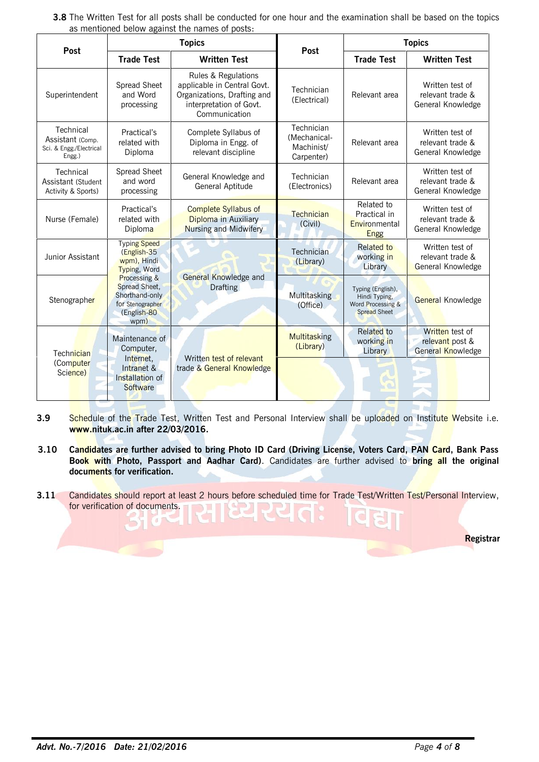**3.8** The Written Test for all posts shall be conducted for one hour and the examination shall be based on the topics as mentioned below against the names of posts:

|                                                                                                              |                                                                                                                                                                         | <b>Topics</b>                                                                       | Post                                                   | <b>Topics</b>                                                                  |                                                          |  |  |
|--------------------------------------------------------------------------------------------------------------|-------------------------------------------------------------------------------------------------------------------------------------------------------------------------|-------------------------------------------------------------------------------------|--------------------------------------------------------|--------------------------------------------------------------------------------|----------------------------------------------------------|--|--|
| Post                                                                                                         | <b>Trade Test</b><br><b>Written Test</b>                                                                                                                                |                                                                                     |                                                        | <b>Trade Test</b>                                                              | <b>Written Test</b>                                      |  |  |
| Superintendent                                                                                               | Rules & Regulations<br>Spread Sheet<br>applicable in Central Govt.<br>Organizations, Drafting and<br>and Word<br>interpretation of Govt.<br>processing<br>Communication |                                                                                     | Technician<br>(Electrical)                             | Relevant area                                                                  | Written test of<br>relevant trade &<br>General Knowledge |  |  |
| Technical<br>Practical's<br>Assistant (Comp.<br>related with<br>Sci. & Engg./Electrical<br>Diploma<br>Engg.) |                                                                                                                                                                         | Complete Syllabus of<br>Diploma in Engg. of<br>relevant discipline                  | Technician<br>(Mechanical-<br>Machinist/<br>Carpenter) |                                                                                | Written test of<br>relevant trade &<br>General Knowledge |  |  |
| Technical<br>Assistant (Student<br>Activity & Sports)                                                        | Spread Sheet<br>and word<br>processing                                                                                                                                  | General Knowledge and<br>General Aptitude                                           | Technician<br>(Electronics)                            | Relevant area                                                                  | Written test of<br>relevant trade &<br>General Knowledge |  |  |
| Nurse (Female)                                                                                               | Practical's<br>related with<br>Diploma                                                                                                                                  | <b>Complete Syllabus of</b><br>Diploma in Auxiliary<br><b>Nursing and Midwifery</b> | Technician<br>(Civil)                                  | Related to<br>Practical in<br>Environmental<br><b>Engg</b>                     | Written test of<br>relevant trade &<br>General Knowledge |  |  |
| Junior Assistant                                                                                             | <b>Typing Speed</b><br>$(English-35)$<br>wpm), Hindi<br>Typing, Word                                                                                                    |                                                                                     | Technician<br>(Library)                                | <b>Related to</b><br>working in<br>Library                                     | Written test of<br>relevant trade &<br>General Knowledge |  |  |
| Stenographer                                                                                                 | Processing &<br>Spread Sheet,<br>Shorthand-only<br>for Stenographer<br>(English-80<br>wpm)                                                                              | General Knowledge and<br><b>Drafting</b>                                            | Multitasking<br>(Office)                               | Typing (English),<br>Hindi Typing,<br>Word Processing &<br><b>Spread Sheet</b> | <b>General Knowledge</b>                                 |  |  |
| Technician<br>(Computer<br>Science)                                                                          | Maintenance of<br>Computer,<br>Internet,<br>Intranet &<br>Installation of<br><b>Software</b>                                                                            | Written test of relevant<br>trade & General Knowledge                               | <b>Multitasking</b><br>(Library)                       | <b>Related to</b><br>working in<br>Library                                     | Written test of<br>relevant post &<br>General Knowledge  |  |  |

- **3.9** Schedule of the Trade Test, Written Test and Personal Interview shall be uploaded on Institute Website i.e. **www.nituk.ac.in after 22/03/2016.**
- **3.10 Candidates are further advised to bring Photo ID Card (Driving License, Voters Card, PAN Card, Bank Pass Book with Photo, Passport and Aadhar Card)**. Candidates are further advised to **bring all the original documents for verification.**
- 3.11 Candidates should report at least 2 hours before scheduled time for Trade Test/Written Test/Personal Interview, for verification of documents.

**Registrar**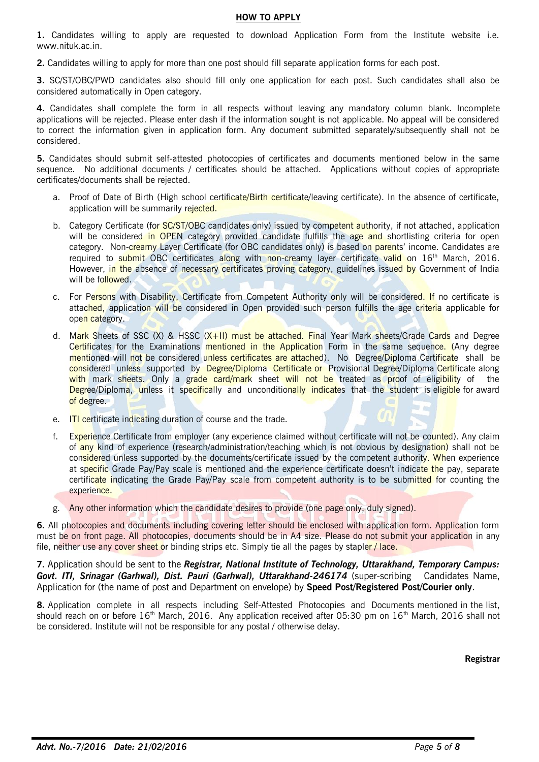#### **HOW TO APPLY**

**1.** Candidates willing to apply are requested to download Application Form from the Institute website i.e. www.nituk.ac.in.

**2.** Candidates willing to apply for more than one post should fill separate application forms for each post.

**3.** SC/ST/OBC/PWD candidates also should fill only one application for each post. Such candidates shall also be considered automatically in Open category.

**4.** Candidates shall complete the form in all respects without leaving any mandatory column blank. Incomplete applications will be rejected. Please enter dash if the information sought is not applicable. No appeal will be considered to correct the information given in application form. Any document submitted separately/subsequently shall not be considered.

**5.** Candidates should submit self-attested photocopies of certificates and documents mentioned below in the same sequence. No additional documents / certificates should be attached. Applications without copies of appropriate certificates/documents shall be rejected.

- a. Proof of Date of Birth (High school certificate/Birth certificate/leaving certificate). In the absence of certificate, application will be summarily rejected.
- b. Category Certificate (for SC/ST/OBC candidates only) issued by competent authority, if not attached, application will be considered in OPEN category provided candidate fulfills the age and shortlisting criteria for open category. Non-creamy Layer Certificate (for OBC candidates only) is based on parents' income. Candidates are required to submit OBC certificates along with non-creamy layer certificate valid on 16<sup>th</sup> March, 2016. However, in the absence of necessary certificates proving category, guidelines issued by Government of India will be followed.
- c. For Persons with Disability, Certificate from Competent Authority only will be considered. If no certificate is attached, application will be considered in Open provided such person fulfills the age criteria applicable for open category.
- d. Mark Sheets of SSC (X) & HSSC (X+II) must be attached. Final Year Mark sheets/Grade Cards and Degree Certificates for the Examinations mentioned in the Application Form in the same sequence. (Any degree mentioned will not be considered unless certificates are attached). No Degree/Diploma Certificate shall be considered unless supported by Degree/Diploma Certificate or Provisional Degree/Diploma Certificate along with mark sheets. Only a grade card/mark sheet will not be treated as proof of eligibility of the Degree/Diploma, unless it specifically and unconditionally indicates that the student is eligible for award of degree.
- e. ITI certificate indicating duration of course and the trade.
- f. Experience Certificate from employer (any experience claimed without certificate will not be counted). Any claim of any kind of experience (research/administration/teaching which is not obvious by designation) shall not be considered unless supported by the documents/certificate issued by the competent authority. When experience at specific Grade Pay/Pay scale is mentioned and the experience certificate doesn't indicate the pay, separate certificate indicating the Grade Pay/Pay scale from competent authority is to be submitted for counting the experience.
- g. Any other information which the candidate desires to provide (one page only, duly signed).

**6.** All photocopies and documents including covering letter should be enclosed with application form. Application form must be on front page. All photocopies, documents should be in A4 size. Please do not submit your application in any file, neither use any cover sheet or binding strips etc. Simply tie all the pages by stapler / lace.

**7.** Application should be sent to the *Registrar, National Institute of Technology, Uttarakhand, Temporary Campus:* Govt. ITI, Srinagar (Garhwal), Dist. Pauri (Garhwal), Uttarakhand-246174 (super-scribing Candidates Name, Application for (the name of post and Department on envelope) by **Speed Post/Registered Post/Courier only**.

**8.** Application complete in all respects including Self-Attested Photocopies and Documents mentioned in the list, should reach on or before 16<sup>th</sup> March, 2016. Any application received after 05:30 pm on 16<sup>th</sup> March, 2016 shall not be considered. Institute will not be responsible for any postal / otherwise delay.

**Registrar**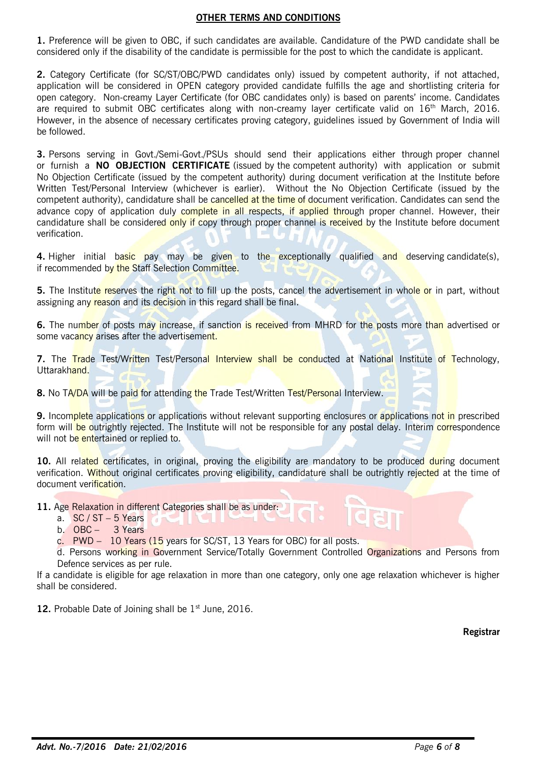### **OTHER TERMS AND CONDITIONS**

**1.** Preference will be given to OBC, if such candidates are available. Candidature of the PWD candidate shall be considered only if the disability of the candidate is permissible for the post to which the candidate is applicant.

**2.** Category Certificate (for SC/ST/OBC/PWD candidates only) issued by competent authority, if not attached, application will be considered in OPEN category provided candidate fulfills the age and shortlisting criteria for open category. Non-creamy Layer Certificate (for OBC candidates only) is based on parents' income. Candidates are required to submit OBC certificates along with non-creamy layer certificate valid on  $16<sup>th</sup>$  March, 2016. However, in the absence of necessary certificates proving category, guidelines issued by Government of India will be followed.

**3.** Persons serving in Govt./Semi-Govt./PSUs should send their applications either through proper channel or furnish a **NO OBJECTION CERTIFICATE** (issued by the competent authority) with application or submit No Objection Certificate (issued by the competent authority) during document verification at the Institute before Written Test/Personal Interview (whichever is earlier). Without the No Objection Certificate (issued by the competent authority), candidature shall be cancelled at the time of document verification. Candidates can send the advance copy of application duly complete in all respects, if applied through proper channel. However, their candidature shall be considered only if copy through proper channel is received by the Institute before document verification.

**4.** Higher initial basic pay may be given to the exceptionally qualified and deserving candidate(s), if recommended by the Staff Selection Committee.

**5.** The Institute reserves the right not to fill up the posts, cancel the advertisement in whole or in part, without assigning any reason and its decision in this regard shall be final.

**6.** The number of posts may increase, if sanction is received from MHRD for the posts more than advertised or some vacancy arises after the advertisement.

**7.** The Trade Test/Written Test/Personal Interview shall be conducted at National Institute of Technology, Uttarakhand.

**8.** No TA/DA will be paid for attending the Trade Test/Written Test/Personal Interview.

**9.** Incomplete applications or applications without relevant supporting enclosures or applications not in prescribed form will be outrightly rejected. The Institute will not be responsible for any postal delay. Interim correspondence will not be entertained or replied to.

**10.** All related certificates, in original, proving the eligibility are mandatory to be produced during document verification. Without original certificates proving eligibility, candidature shall be outrightly rejected at the time of document verification.

**11.** Age Relaxation in different Categories shall be as under:

- a.  $SC / ST 5$  Years
- b. OBC 3 Years
- c. PWD 10 Years (15 years for SC/ST, 13 Years for OBC) for all posts.

d. Persons working in Government Service/Totally Government Controlled Organizations and Persons from Defence services as per rule.

If a candidate is eligible for age relaxation in more than one category, only one age relaxation whichever is higher shall be considered.

12. Probable Date of Joining shall be 1<sup>st</sup> June, 2016.

**Registrar**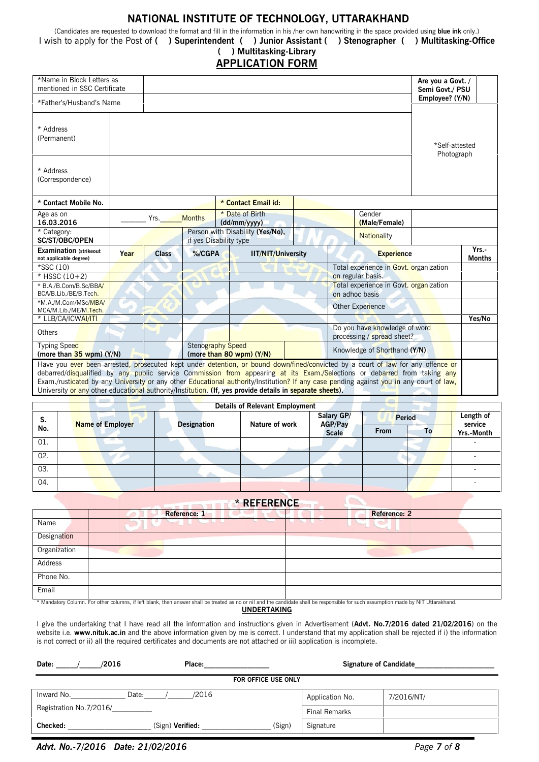### **NATIONAL INSTITUTE OF TECHNOLOGY, UTTARAKHAND**

(Candidates are requested to download the format and fill in the information in his /her own handwriting in the space provided using **blue ink** only.)

I wish to apply for the Post of **( ) Superintendent ( ) Junior Assistant ( ) Stenographer ( ) Multitasking-Office ( ) Multitasking-Library**

# **APPLICATION FORM**

| *Name in Block Letters as<br>mentioned in SSC Certificate                                                 |      |              |               |                                                            |  | Are you a Govt. /<br>Semi Govt./ PSU                                                                                                                                                                                                                                                                                                                                                                     |                              |                        |
|-----------------------------------------------------------------------------------------------------------|------|--------------|---------------|------------------------------------------------------------|--|----------------------------------------------------------------------------------------------------------------------------------------------------------------------------------------------------------------------------------------------------------------------------------------------------------------------------------------------------------------------------------------------------------|------------------------------|------------------------|
| *Father's/Husband's Name                                                                                  |      |              |               |                                                            |  | Employee? (Y/N)                                                                                                                                                                                                                                                                                                                                                                                          |                              |                        |
| * Address<br>(Permanent)                                                                                  |      |              |               |                                                            |  |                                                                                                                                                                                                                                                                                                                                                                                                          | *Self-attested<br>Photograph |                        |
| * Address<br>(Correspondence)                                                                             |      |              |               |                                                            |  |                                                                                                                                                                                                                                                                                                                                                                                                          |                              |                        |
| * Contact Mobile No.                                                                                      |      |              |               | * Contact Email id:                                        |  |                                                                                                                                                                                                                                                                                                                                                                                                          |                              |                        |
| Age as on<br>16.03.2016                                                                                   |      | Yrs.         | <b>Months</b> | * Date of Birth<br>(dd/mm/vyyy)                            |  | Gender<br>(Male/Female)                                                                                                                                                                                                                                                                                                                                                                                  |                              |                        |
| * Category:<br><b>SC/ST/OBC/OPEN</b>                                                                      |      |              |               | Person with Disability (Yes/No),<br>if yes Disability type |  | <b>Nationality</b>                                                                                                                                                                                                                                                                                                                                                                                       |                              |                        |
| <b>Examination (strikeout)</b><br>not applicable degree)                                                  | Year | <b>Class</b> | %/CGPA        | <b>IIT/NIT/University</b>                                  |  | <b>Experience</b>                                                                                                                                                                                                                                                                                                                                                                                        |                              | Yrs.-<br><b>Months</b> |
| *SSC (10)<br>* HSSC $(10+2)$                                                                              |      |              |               |                                                            |  | Total experience in Govt. organization                                                                                                                                                                                                                                                                                                                                                                   |                              |                        |
| * B.A./B.Com/B.Sc/BBA/<br>BCA/B.Lib./BE/B.Tech.                                                           |      |              |               |                                                            |  | on regular basis.<br>Total experience in Govt. organization<br>on adhoc basis                                                                                                                                                                                                                                                                                                                            |                              |                        |
| *M.A./M.Com/MSc/MBA/<br>MCA/M.Lib./ME/M.Tech.                                                             |      |              |               |                                                            |  | <b>Other Experience</b>                                                                                                                                                                                                                                                                                                                                                                                  |                              |                        |
| * LLB/CA/ICWAI/ITI                                                                                        |      |              |               |                                                            |  |                                                                                                                                                                                                                                                                                                                                                                                                          |                              | Yes/No                 |
| Others                                                                                                    |      |              |               |                                                            |  | Do you have knowledge of word<br>processing / spread sheet?                                                                                                                                                                                                                                                                                                                                              |                              |                        |
| <b>Stenography Speed</b><br><b>Typing Speed</b><br>(more than $35$ wpm) (Y/N)<br>(more than 80 wpm) (Y/N) |      |              |               |                                                            |  | Knowledge of Shorthand (Y/N)                                                                                                                                                                                                                                                                                                                                                                             |                              |                        |
| University or any other educational authority/Institution. (If, yes provide details in separate sheets).  |      |              |               |                                                            |  | Have you ever been arrested, prosecuted kept under detention, or bound down/fined/convicted by a court of law for any offence or<br>debarred/disqualified by any public service Commission from appearing at its Exam./Selections or debarred from taking any<br>Exam./rusticated by any University or any other Educational authority/Institution? If any case pending against you in any court of law, |                              |                        |
|                                                                                                           |      |              |               | <b>Details of Relevant Employment</b>                      |  |                                                                                                                                                                                                                                                                                                                                                                                                          |                              |                        |

| S.  | <b>Name of Employer</b> | <b>Designation</b> | Nature of work | Salary GP/<br>AGP/Pay | <b>Period</b>     | Length of<br>service |
|-----|-------------------------|--------------------|----------------|-----------------------|-------------------|----------------------|
| No. |                         |                    |                | <b>Scale</b>          | <b>From</b><br>Τo | Yrs.-Month           |
| 01. |                         |                    |                |                       |                   |                      |
| 02. |                         |                    |                |                       |                   |                      |
| 03. |                         |                    |                |                       |                   |                      |
| 04. |                         |                    |                |                       |                   |                      |

### **\* REFERENCE**

|              | Reference: 1 | <b>Reference: 2</b> |
|--------------|--------------|---------------------|
| Name         |              |                     |
| Designation  |              |                     |
| Organization |              |                     |
| Address      |              |                     |
| Phone No.    |              |                     |
| Email        |              |                     |

\* Mandatory Column. For other columns, if left blank, then answer shall be treated as no or nil and the candidate shall be responsible for such assumption made by NIT Uttarakhand.

**UNDERTAKING**

I give the undertaking that I have read all the information and instructions given in Advertisement (**Advt. No.7/2016 dated 21/02/2016**) on the website i.e. **www.nituk.ac.in** and the above information given by me is correct. I understand that my application shall be rejected if i) the information is not correct or ii) all the required certificates and documents are not attached or iii) application is incomplete.

| /2016<br>Date:          | Place:                  |                     | <b>Signature of Candidate</b> |            |  |  |
|-------------------------|-------------------------|---------------------|-------------------------------|------------|--|--|
|                         |                         | FOR OFFICE USE ONLY |                               |            |  |  |
| Inward No.<br>Date:     | /2016                   |                     | Application No.               | 7/2016/NT/ |  |  |
| Registration No.7/2016/ |                         |                     | <b>Final Remarks</b>          |            |  |  |
| Checked:                | (Sign) <b>Verified:</b> | (Sign)              | Signature                     |            |  |  |

### *Advt. No.-7/2016 Date: 21/02/2016 Page 7 of 8*